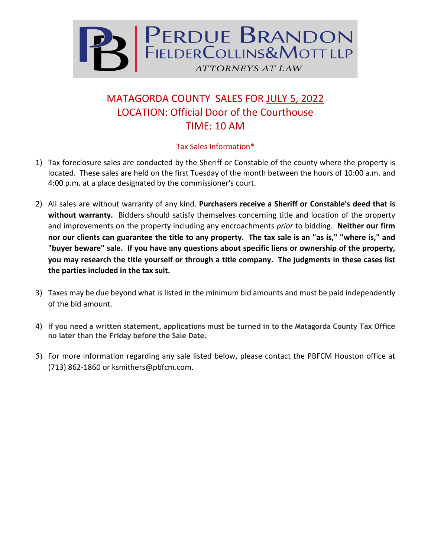

## MATAGORDA COUNTY SALES FOR JULY 5, 2022 LOCATION: Official Door of the Courthouse TIME: 10 AM

## Tax Sales Information\*

- 1) Tax foreclosure sales are conducted by the Sheriff or Constable of the county where the property is located. These sales are held on the first Tuesday of the month between the hours of 10:00 a.m. and 4:00 p.m. at a place designated by the commissioner's court.
- 2) All sales are without warranty of any kind. **Purchasers receive a Sheriff or Constable's deed that is without warranty.** Bidders should satisfy themselves concerning title and location of the property and improvements on the property including any encroachments *prior* to bidding. **Neither our firm nor our clients can guarantee the title to any property. The tax sale is an "as is," "where is," and "buyer beware" sale. If you have any questions about specific liens or ownership of the property, you may research the title yourself or through a title company. The judgments in these cases list the parties included in the tax suit.**
- 3) Taxes may be due beyond what is listed in the minimum bid amounts and must be paid independently of the bid amount.
- 4) **If you need a written statement, applications must be turned in to the Matagorda County Tax Office no later than the Friday before the Sale Date.**
- 5) For more information regarding any sale listed below, please contact the PBFCM Houston office at (713) 862-1860 or ksmithers@pbfcm.com.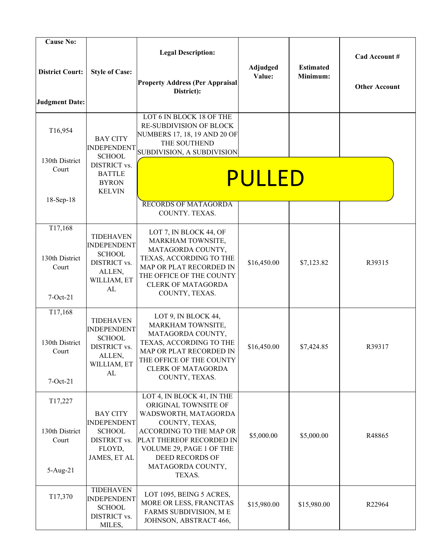| <b>Cause No:</b>       |                                        |                                                         |             |                  |                      |
|------------------------|----------------------------------------|---------------------------------------------------------|-------------|------------------|----------------------|
|                        |                                        | <b>Legal Description:</b>                               |             |                  | Cad Account #        |
|                        |                                        |                                                         | Adjudged    | <b>Estimated</b> |                      |
| <b>District Court:</b> | <b>Style of Case:</b>                  | <b>Property Address (Per Appraisal</b>                  | Value:      | Minimum:         |                      |
|                        |                                        | District):                                              |             |                  | <b>Other Account</b> |
| <b>Judgment Date:</b>  |                                        |                                                         |             |                  |                      |
|                        |                                        | LOT 6 IN BLOCK 18 OF THE                                |             |                  |                      |
| T16,954                |                                        | RE-SUBDIVISION OF BLOCK<br>NUMBERS 17, 18, 19 AND 20 OF |             |                  |                      |
|                        | <b>BAY CITY</b><br><b>INDEPENDENT</b>  | THE SOUTHEND                                            |             |                  |                      |
| 130th District         | <b>SCHOOL</b>                          | SUBDIVISION, A SUBDIVISION                              |             |                  |                      |
| Court                  | DISTRICT vs.<br><b>BATTLE</b>          |                                                         |             |                  |                      |
|                        | <b>BYRON</b>                           |                                                         | PULLED      |                  |                      |
|                        | <b>KELVIN</b>                          |                                                         |             |                  |                      |
| 18-Sep-18              |                                        | <b>RECORDS OF MATAGORDA</b>                             |             |                  |                      |
|                        |                                        | COUNTY. TEXAS.                                          |             |                  |                      |
| T17,168                | <b>TIDEHAVEN</b>                       | LOT 7, IN BLOCK 44, OF                                  |             |                  |                      |
|                        | <b>INDEPENDENT</b>                     | MARKHAM TOWNSITE,<br>MATAGORDA COUNTY,                  |             |                  |                      |
| 130th District         | <b>SCHOOL</b><br>DISTRICT vs.          | TEXAS, ACCORDING TO THE                                 | \$16,450.00 | \$7,123.82       | R39315               |
| Court                  | ALLEN,                                 | MAP OR PLAT RECORDED IN<br>THE OFFICE OF THE COUNTY     |             |                  |                      |
|                        | WILLIAM, ET<br>AL                      | <b>CLERK OF MATAGORDA</b>                               |             |                  |                      |
| $7-Oct-21$             |                                        | COUNTY, TEXAS.                                          |             |                  |                      |
| T17,168                |                                        | LOT 9, IN BLOCK 44,                                     |             |                  |                      |
|                        | <b>TIDEHAVEN</b><br><b>INDEPENDENT</b> | MARKHAM TOWNSITE,                                       |             |                  |                      |
| 130th District         | <b>SCHOOL</b>                          | MATAGORDA COUNTY,<br>TEXAS, ACCORDING TO THE            |             |                  |                      |
| Court                  | DISTRICT vs.<br>ALLEN,                 | MAP OR PLAT RECORDED IN                                 | \$16,450.00 | \$7,424.85       | R39317               |
|                        | WILLIAM, ET                            | THE OFFICE OF THE COUNTY<br><b>CLERK OF MATAGORDA</b>   |             |                  |                      |
| $7-Oct-21$             | AL                                     | COUNTY, TEXAS.                                          |             |                  |                      |
|                        |                                        | LOT 4, IN BLOCK 41, IN THE                              |             |                  |                      |
| T17,227                |                                        | ORIGINAL TOWNSITE OF                                    |             |                  |                      |
|                        | <b>BAY CITY</b><br><b>INDEPENDENT</b>  | WADSWORTH, MATAGORDA<br>COUNTY, TEXAS,                  |             |                  |                      |
| 130th District         | <b>SCHOOL</b>                          | ACCORDING TO THE MAP OR                                 | \$5,000.00  | \$5,000.00       | R48865               |
| Court                  | DISTRICT vs.<br>FLOYD,                 | PLAT THEREOF RECORDED IN<br>VOLUME 29, PAGE 1 OF THE    |             |                  |                      |
|                        | JAMES, ET AL                           | <b>DEED RECORDS OF</b>                                  |             |                  |                      |
| $5-Aug-21$             |                                        | MATAGORDA COUNTY,<br>TEXAS.                             |             |                  |                      |
|                        |                                        |                                                         |             |                  |                      |
| T17,370                | <b>TIDEHAVEN</b><br><b>INDEPENDENT</b> | LOT 1095, BEING 5 ACRES,                                |             |                  |                      |
|                        | <b>SCHOOL</b>                          | MORE OR LESS, FRANCITAS<br>FARMS SUBDIVISION, ME        | \$15,980.00 | \$15,980.00      | R22964               |
|                        | DISTRICT vs.<br>MILES,                 | JOHNSON, ABSTRACT 466,                                  |             |                  |                      |